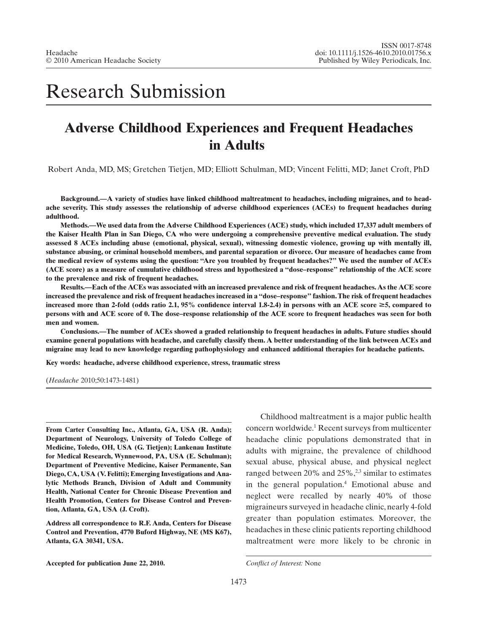# Research Submission

# **Adverse Childhood Experiences and Frequent Headaches in Adults**

Robert Anda, MD, MS; Gretchen Tietjen, MD; Elliott Schulman, MD; Vincent Felitti, MD; Janet Croft, PhD

**Background.—A variety of studies have linked childhood maltreatment to headaches, including migraines, and to headache severity. This study assesses the relationship of adverse childhood experiences (ACEs) to frequent headaches during adulthood.**

**Methods.—We used data from the Adverse Childhood Experiences (ACE) study, which included 17,337 adult members of the Kaiser Health Plan in San Diego, CA who were undergoing a comprehensive preventive medical evaluation. The study assessed 8 ACEs including abuse (emotional, physical, sexual), witnessing domestic violence, growing up with mentally ill, substance abusing, or criminal household members, and parental separation or divorce. Our measure of headaches came from the medical review of systems using the question: "Are you troubled by frequent headaches?" We used the number of ACEs (ACE score) as a measure of cumulative childhood stress and hypothesized a "dose–response" relationship of the ACE score to the prevalence and risk of frequent headaches.**

**Results.—Each of the ACEs was associated with an increased prevalence and risk of frequent headaches. As the ACE score increased the prevalence and risk of frequent headaches increased in a "dose–response" fashion. The risk of frequent headaches increased more than 2-fold (odds ratio 2.1, 95% confidence interval 1.8-2.4) in persons with an ACE score -5, compared to persons with and ACE score of 0. The dose–response relationship of the ACE score to frequent headaches was seen for both men and women.**

**Conclusions.—The number of ACEs showed a graded relationship to frequent headaches in adults. Future studies should examine general populations with headache, and carefully classify them. A better understanding of the link between ACEs and migraine may lead to new knowledge regarding pathophysiology and enhanced additional therapies for headache patients.**

**Key words: headache, adverse childhood experience, stress, traumatic stress**

(*Headache* 2010;50:1473-1481)

**From Carter Consulting Inc., Atlanta, GA, USA (R. Anda); Department of Neurology, University of Toledo College of Medicine, Toledo, OH, USA (G. Tietjen); Lankenau Institute for Medical Research, Wynnewood, PA, USA (E. Schulman); Department of Preventive Medicine, Kaiser Permanente, San Diego, CA, USA (V. Felitti); Emerging Investigations and Analytic Methods Branch, Division of Adult and Community Health, National Center for Chronic Disease Prevention and Health Promotion, Centers for Disease Control and Prevention, Atlanta, GA, USA (J. Croft).**

**Address all correspondence to R.F. Anda, Centers for Disease Control and Prevention, 4770 Buford Highway, NE (MS K67), Atlanta, GA 30341, USA.**

Childhood maltreatment is a major public health concern worldwide. $<sup>1</sup>$  Recent surveys from multicenter</sup> headache clinic populations demonstrated that in adults with migraine, the prevalence of childhood sexual abuse, physical abuse, and physical neglect ranged between 20% and  $25\%$ ,<sup>2,3</sup> similar to estimates in the general population.<sup>4</sup> Emotional abuse and neglect were recalled by nearly 40% of those migraineurs surveyed in headache clinic, nearly 4-fold greater than population estimates. Moreover, the headaches in these clinic patients reporting childhood maltreatment were more likely to be chronic in

**Accepted for publication June 22, 2010.** *Conflict of Interest:* None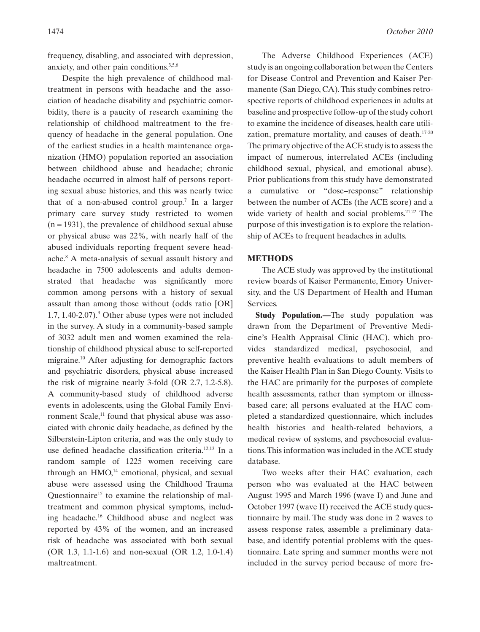frequency, disabling, and associated with depression, anxiety, and other pain conditions.<sup>3,5,6</sup>

Despite the high prevalence of childhood maltreatment in persons with headache and the association of headache disability and psychiatric comorbidity, there is a paucity of research examining the relationship of childhood maltreatment to the frequency of headache in the general population. One of the earliest studies in a health maintenance organization (HMO) population reported an association between childhood abuse and headache; chronic headache occurred in almost half of persons reporting sexual abuse histories, and this was nearly twice that of a non-abused control group.<sup>7</sup> In a larger primary care survey study restricted to women  $(n = 1931)$ , the prevalence of childhood sexual abuse or physical abuse was 22%, with nearly half of the abused individuals reporting frequent severe headache.8 A meta-analysis of sexual assault history and headache in 7500 adolescents and adults demonstrated that headache was significantly more common among persons with a history of sexual assault than among those without (odds ratio [OR]  $1.7, 1.40$ - $2.07$ ).<sup>9</sup> Other abuse types were not included in the survey. A study in a community-based sample of 3032 adult men and women examined the relationship of childhood physical abuse to self-reported migraine.10 After adjusting for demographic factors and psychiatric disorders, physical abuse increased the risk of migraine nearly 3-fold (OR 2.7, 1.2-5.8). A community-based study of childhood adverse events in adolescents, using the Global Family Environment Scale, $<sup>11</sup>$  found that physical abuse was asso-</sup> ciated with chronic daily headache, as defined by the Silberstein-Lipton criteria, and was the only study to use defined headache classification criteria.<sup>12,13</sup> In a random sample of 1225 women receiving care through an  $HMO<sub>14</sub>$  emotional, physical, and sexual abuse were assessed using the Childhood Trauma Questionnaire<sup>15</sup> to examine the relationship of maltreatment and common physical symptoms, including headache.16 Childhood abuse and neglect was reported by 43% of the women, and an increased risk of headache was associated with both sexual (OR 1.3, 1.1-1.6) and non-sexual (OR 1.2, 1.0-1.4) maltreatment.

1474 *October 2010*

The Adverse Childhood Experiences (ACE) study is an ongoing collaboration between the Centers for Disease Control and Prevention and Kaiser Permanente (San Diego, CA).This study combines retrospective reports of childhood experiences in adults at baseline and prospective follow-up of the study cohort to examine the incidence of diseases, health care utilization, premature mortality, and causes of death. $17-20$ The primary objective of theACE study is to assess the impact of numerous, interrelated ACEs (including childhood sexual, physical, and emotional abuse). Prior publications from this study have demonstrated a cumulative or "dose–response" relationship between the number of ACEs (the ACE score) and a wide variety of health and social problems.<sup>21,22</sup> The purpose of this investigation is to explore the relationship of ACEs to frequent headaches in adults.

# **METHODS**

The ACE study was approved by the institutional review boards of Kaiser Permanente, Emory University, and the US Department of Health and Human Services.

**Study Population.—**The study population was drawn from the Department of Preventive Medicine's Health Appraisal Clinic (HAC), which provides standardized medical, psychosocial, and preventive health evaluations to adult members of the Kaiser Health Plan in San Diego County. Visits to the HAC are primarily for the purposes of complete health assessments, rather than symptom or illnessbased care; all persons evaluated at the HAC completed a standardized questionnaire, which includes health histories and health-related behaviors, a medical review of systems, and psychosocial evaluations.This information was included in the ACE study database.

Two weeks after their HAC evaluation, each person who was evaluated at the HAC between August 1995 and March 1996 (wave I) and June and October 1997 (wave II) received the ACE study questionnaire by mail. The study was done in 2 waves to assess response rates, assemble a preliminary database, and identify potential problems with the questionnaire. Late spring and summer months were not included in the survey period because of more fre-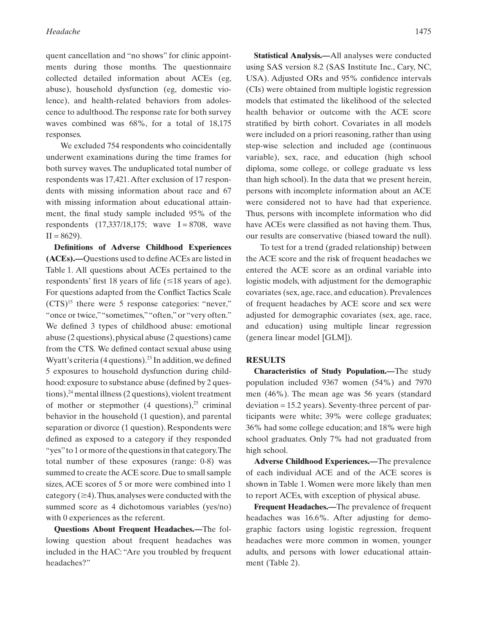quent cancellation and "no shows" for clinic appointments during those months. The questionnaire collected detailed information about ACEs (eg, abuse), household dysfunction (eg, domestic violence), and health-related behaviors from adolescence to adulthood.The response rate for both survey waves combined was 68%, for a total of 18,175 responses.

We excluded 754 respondents who coincidentally underwent examinations during the time frames for both survey waves. The unduplicated total number of respondents was 17,421.After exclusion of 17 respondents with missing information about race and 67 with missing information about educational attainment, the final study sample included 95% of the respondents  $(17,337/18,175;$  wave  $I = 8708$ , wave  $II = 8629$ ).

**Definitions of Adverse Childhood Experiences (ACEs).—**Questions used to defineACEs are listed in Table 1. All questions about ACEs pertained to the respondents' first 18 years of life  $(\leq 18$  years of age). For questions adapted from the Conflict Tactics Scale  $(CTS)^{15}$  there were 5 response categories: "never," "once or twice," "sometimes," "often," or "very often." We defined 3 types of childhood abuse: emotional abuse (2 questions), physical abuse (2 questions) came from the CTS. We defined contact sexual abuse using Wyatt's criteria  $(4$  questions).<sup>23</sup> In addition, we defined 5 exposures to household dysfunction during childhood: exposure to substance abuse (defined by 2 ques $tions$ ),  $^{24}$  mental illness (2 questions), violent treatment of mother or stepmother  $(4 \text{ questions})$ ,<sup>25</sup> criminal behavior in the household (1 question), and parental separation or divorce (1 question). Respondents were defined as exposed to a category if they responded "yes" to 1 or more of the questions in that category.The total number of these exposures (range: 0-8) was summed to create the ACE score. Due to small sample sizes, ACE scores of 5 or more were combined into 1 category  $(\geq 4)$ . Thus, analyses were conducted with the summed score as 4 dichotomous variables (yes/no) with 0 experiences as the referent.

**Questions About Frequent Headaches.—**The following question about frequent headaches was included in the HAC: "Are you troubled by frequent headaches?"

**Statistical Analysis.—**All analyses were conducted using SAS version 8.2 (SAS Institute Inc., Cary, NC, USA). Adjusted ORs and 95% confidence intervals (CIs) were obtained from multiple logistic regression models that estimated the likelihood of the selected health behavior or outcome with the ACE score stratified by birth cohort. Covariates in all models were included on a priori reasoning, rather than using step-wise selection and included age (continuous variable), sex, race, and education (high school diploma, some college, or college graduate vs less than high school). In the data that we present herein, persons with incomplete information about an ACE were considered not to have had that experience. Thus, persons with incomplete information who did have ACEs were classified as not having them. Thus, our results are conservative (biased toward the null).

To test for a trend (graded relationship) between the ACE score and the risk of frequent headaches we entered the ACE score as an ordinal variable into logistic models, with adjustment for the demographic covariates (sex, age, race, and education). Prevalences of frequent headaches by ACE score and sex were adjusted for demographic covariates (sex, age, race, and education) using multiple linear regression (genera linear model [GLM]).

# **RESULTS**

**Characteristics of Study Population.—**The study population included 9367 women (54%) and 7970 men (46%). The mean age was 56 years (standard deviation = 15.2 years). Seventy-three percent of participants were white; 39% were college graduates; 36% had some college education; and 18% were high school graduates. Only 7% had not graduated from high school.

**Adverse Childhood Experiences.—**The prevalence of each individual ACE and of the ACE scores is shown in Table 1.Women were more likely than men to report ACEs, with exception of physical abuse.

**Frequent Headaches.—**The prevalence of frequent headaches was 16.6%. After adjusting for demographic factors using logistic regression, frequent headaches were more common in women, younger adults, and persons with lower educational attainment (Table 2).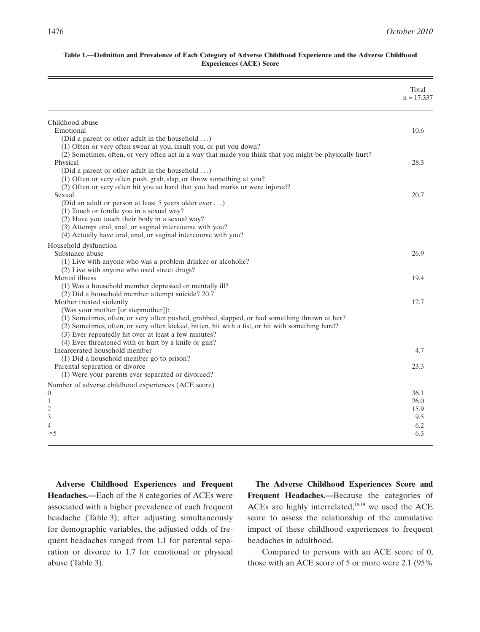#### **Table 1.—Definition and Prevalence of Each Category of Adverse Childhood Experience and the Adverse Childhood Experiences (ACE) Score**

|                                                                                                                                                                                                                                                                                                                                                                                  | Total<br>$n = 17,337$                     |
|----------------------------------------------------------------------------------------------------------------------------------------------------------------------------------------------------------------------------------------------------------------------------------------------------------------------------------------------------------------------------------|-------------------------------------------|
| Childhood abuse<br>Emotional<br>(Did a parent or other adult in the household)                                                                                                                                                                                                                                                                                                   | 10.6                                      |
| (1) Often or very often swear at you, insult you, or put you down?<br>(2) Sometimes, often, or very often act in a way that made you think that you might be physically hurt?<br>Physical<br>(Did a parent or other adult in the household $\ldots$ )                                                                                                                            | 28.3                                      |
| (1) Often or very often push, grab, slap, or throw something at you?<br>(2) Often or very often hit you so hard that you had marks or were injured?<br>Sexual<br>(Did an adult or person at least 5 years older ever )<br>(1) Touch or fondle you in a sexual way?<br>(2) Have you touch their body in a sexual way?<br>(3) Attempt oral, anal, or vaginal intercourse with you? | 20.7                                      |
| (4) Actually have oral, anal, or vaginal intercourse with you?<br>Household dysfunction                                                                                                                                                                                                                                                                                          |                                           |
| Substance abuse<br>(1) Live with anyone who was a problem drinker or alcoholic?<br>(2) Live with anyone who used street drugs?<br>Mental illness<br>(1) Was a household member depressed or mentally ill?                                                                                                                                                                        | 26.9<br>19.4                              |
| (2) Did a household member attempt suicide? 20.7<br>Mother treated violently<br>(Was your mother [or stepmother]):<br>(1) Sometimes, often, or very often pushed, grabbed, slapped, or had something thrown at her?<br>(2) Sometimes, often, or very often kicked, bitten, hit with a fist, or hit with something hard?<br>(3) Ever repeatedly hit over at least a few minutes?  | 12.7                                      |
| (4) Ever threatened with or hurt by a knife or gun?<br>Incarcerated household member<br>(1) Did a household member go to prison?                                                                                                                                                                                                                                                 | 4.7                                       |
| Parental separation or divorce<br>(1) Were your parents ever separated or divorced?                                                                                                                                                                                                                                                                                              | 23.3                                      |
| Number of adverse childhood experiences (ACE score)<br>0<br>$\frac{1}{2}$<br>4<br>$\geq$ 5                                                                                                                                                                                                                                                                                       | 36.1<br>26.0<br>15.9<br>9.5<br>6.2<br>6.3 |
|                                                                                                                                                                                                                                                                                                                                                                                  |                                           |

**Adverse Childhood Experiences and Frequent Headaches.—**Each of the 8 categories of ACEs were associated with a higher prevalence of each frequent headache (Table 3); after adjusting simultaneously for demographic variables, the adjusted odds of frequent headaches ranged from 1.1 for parental separation or divorce to 1.7 for emotional or physical abuse (Table 3).

**The Adverse Childhood Experiences Score and Frequent Headaches.—**Because the categories of ACEs are highly interrelated, $18,19$  we used the ACE score to assess the relationship of the cumulative impact of these childhood experiences to frequent headaches in adulthood.

Compared to persons with an ACE score of 0, those with an ACE score of 5 or more were 2.1 (95%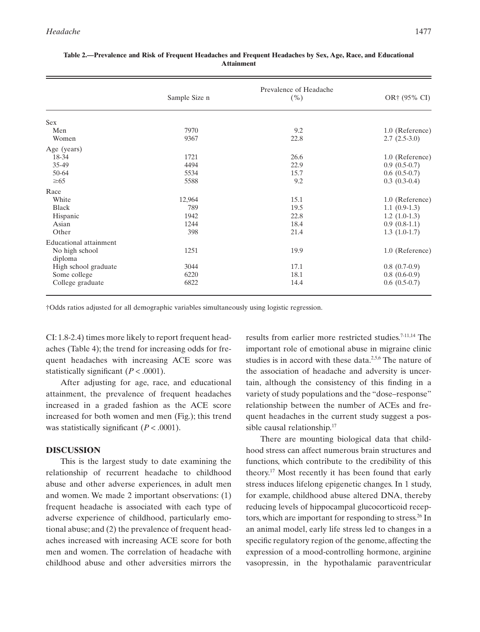|                               | Prevalence of Headache |      |                 |
|-------------------------------|------------------------|------|-----------------|
|                               | Sample Size n          | ( %) | OR† (95% CI)    |
| <b>Sex</b>                    |                        |      |                 |
| Men                           | 7970                   | 9.2  | 1.0 (Reference) |
| Women                         | 9367                   | 22.8 | $2.7(2.5-3.0)$  |
| Age (years)                   |                        |      |                 |
| 18-34                         | 1721                   | 26.6 | 1.0 (Reference) |
| 35-49                         | 4494                   | 22.9 | $0.9(0.5-0.7)$  |
| 50-64                         | 5534                   | 15.7 | $0.6(0.5-0.7)$  |
| $\geq 65$                     | 5588                   | 9.2  | $0.3(0.3-0.4)$  |
| Race                          |                        |      |                 |
| White                         | 12,964                 | 15.1 | 1.0 (Reference) |
| <b>Black</b>                  | 789                    | 19.5 | $1.1(0.9-1.3)$  |
| Hispanic                      | 1942                   | 22.8 | $1.2(1.0-1.3)$  |
| Asian                         | 1244                   | 18.4 | $0.9(0.8-1.1)$  |
| Other                         | 398                    | 21.4 | $1.3(1.0-1.7)$  |
| <b>Educational attainment</b> |                        |      |                 |
| No high school                | 1251                   | 19.9 | 1.0 (Reference) |
| diploma                       |                        |      |                 |
| High school graduate          | 3044                   | 17.1 | $0.8(0.7-0.9)$  |
| Some college                  | 6220                   | 18.1 | $0.8(0.6-0.9)$  |
| College graduate              | 6822                   | 14.4 | $0.6(0.5-0.7)$  |

**Table 2.—Prevalence and Risk of Frequent Headaches and Frequent Headaches by Sex, Age, Race, and Educational Attainment**

†Odds ratios adjusted for all demographic variables simultaneously using logistic regression.

CI: 1.8-2.4) times more likely to report frequent headaches (Table 4); the trend for increasing odds for frequent headaches with increasing ACE score was statistically significant  $(P < .0001)$ .

After adjusting for age, race, and educational attainment, the prevalence of frequent headaches increased in a graded fashion as the ACE score increased for both women and men (Fig.); this trend was statistically significant  $(P < .0001)$ .

# **DISCUSSION**

This is the largest study to date examining the relationship of recurrent headache to childhood abuse and other adverse experiences, in adult men and women. We made 2 important observations: (1) frequent headache is associated with each type of adverse experience of childhood, particularly emotional abuse; and (2) the prevalence of frequent headaches increased with increasing ACE score for both men and women. The correlation of headache with childhood abuse and other adversities mirrors the

results from earlier more restricted studies.7-11,14 The important role of emotional abuse in migraine clinic studies is in accord with these data.<sup>2,5,6</sup> The nature of the association of headache and adversity is uncertain, although the consistency of this finding in a variety of study populations and the "dose–response" relationship between the number of ACEs and frequent headaches in the current study suggest a possible causal relationship.<sup>17</sup>

There are mounting biological data that childhood stress can affect numerous brain structures and functions, which contribute to the credibility of this theory.17 Most recently it has been found that early stress induces lifelong epigenetic changes. In 1 study, for example, childhood abuse altered DNA, thereby reducing levels of hippocampal glucocorticoid receptors, which are important for responding to stress.<sup>26</sup> In an animal model, early life stress led to changes in a specific regulatory region of the genome, affecting the expression of a mood-controlling hormone, arginine vasopressin, in the hypothalamic paraventricular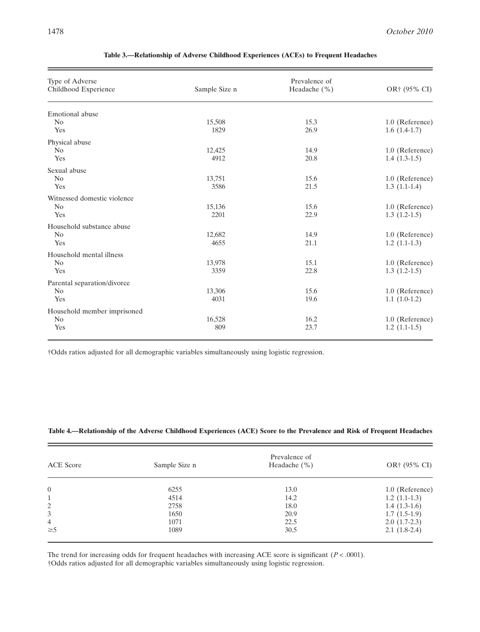| Type of Adverse<br>Childhood Experience | Sample Size n | Prevalence of<br>Headache $(\% )$ | OR† (95% CI)    |
|-----------------------------------------|---------------|-----------------------------------|-----------------|
| Emotional abuse                         |               |                                   |                 |
| N <sub>0</sub>                          | 15,508        | 15.3                              | 1.0 (Reference) |
| Yes                                     | 1829          | 26.9                              | $1.6(1.4-1.7)$  |
| Physical abuse                          |               |                                   |                 |
| N <sub>0</sub>                          | 12,425        | 14.9                              | 1.0 (Reference) |
| Yes                                     | 4912          | 20.8                              | $1.4(1.3-1.5)$  |
| Sexual abuse                            |               |                                   |                 |
| N <sub>0</sub>                          | 13,751        | 15.6                              | 1.0 (Reference) |
| Yes                                     | 3586          | 21.5                              | $1.3(1.1-1.4)$  |
| Witnessed domestic violence             |               |                                   |                 |
| N <sub>0</sub>                          | 15,136        | 15.6                              | 1.0 (Reference) |
| Yes                                     | 2201          | 22.9                              | $1.3(1.2-1.5)$  |
| Household substance abuse               |               |                                   |                 |
| N <sub>0</sub>                          | 12,682        | 14.9                              | 1.0 (Reference) |
| Yes                                     | 4655          | 21.1                              | $1.2(1.1-1.3)$  |
| Household mental illness                |               |                                   |                 |
| N <sub>0</sub>                          | 13,978        | 15.1                              | 1.0 (Reference) |
| Yes                                     | 3359          | 22.8                              | $1.3(1.2-1.5)$  |
| Parental separation/divorce             |               |                                   |                 |
| N <sub>0</sub>                          | 13,306        | 15.6                              | 1.0 (Reference) |
| Yes                                     | 4031          | 19.6                              | $1.1(1.0-1.2)$  |
| Household member imprisoned             |               |                                   |                 |
| N <sub>0</sub>                          | 16,528        | 16.2                              | 1.0 (Reference) |
| Yes                                     | 809           | 23.7                              | $1.2(1.1-1.5)$  |

†Odds ratios adjusted for all demographic variables simultaneously using logistic regression.

# **Table 4.—Relationship of the Adverse Childhood Experiences (ACE) Score to the Prevalence and Risk of Frequent Headaches**

| <b>ACE</b> Score | Sample Size n | Prevalence of<br>Headache $(\% )$ | OR† (95% CI)    |
|------------------|---------------|-----------------------------------|-----------------|
| $\overline{0}$   | 6255          | 13.0                              | 1.0 (Reference) |
| 1                | 4514          | 14.2                              | $1.2(1.1-1.3)$  |
| 2                | 2758          | 18.0                              | $1.4(1.3-1.6)$  |
| 3                | 1650          | 20.9                              | $1.7(1.5-1.9)$  |
| 4                | 1071          | 22.5                              | $2.0(1.7-2.3)$  |
| $\geq 5$         | 1089          | 30.5                              | $2.1(1.8-2.4)$  |

The trend for increasing odds for frequent headaches with increasing ACE score is significant (*P* < .0001). †Odds ratios adjusted for all demographic variables simultaneously using logistic regression.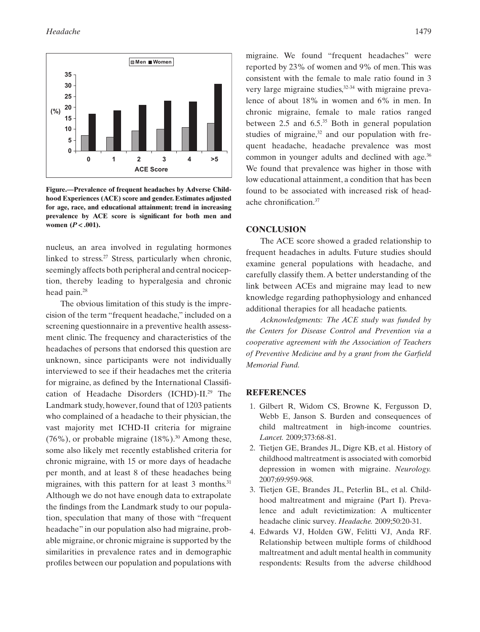

**Figure.—Prevalence of frequent headaches by Adverse Childhood Experiences (ACE) score and gender. Estimates adjusted for age, race, and educational attainment; trend in increasing prevalence by ACE score is significant for both men and women (***P* < **.001).**

nucleus, an area involved in regulating hormones linked to stress.<sup>27</sup> Stress, particularly when chronic, seemingly affects both peripheral and central nociception, thereby leading to hyperalgesia and chronic head pain.<sup>28</sup>

The obvious limitation of this study is the imprecision of the term "frequent headache," included on a screening questionnaire in a preventive health assessment clinic. The frequency and characteristics of the headaches of persons that endorsed this question are unknown, since participants were not individually interviewed to see if their headaches met the criteria for migraine, as defined by the International Classification of Headache Disorders (ICHD)-II.29 The Landmark study, however, found that of 1203 patients who complained of a headache to their physician, the vast majority met ICHD-II criteria for migraine (76%), or probable migraine  $(18\%)$ .<sup>30</sup> Among these, some also likely met recently established criteria for chronic migraine, with 15 or more days of headache per month, and at least 8 of these headaches being migraines, with this pattern for at least  $3$  months.<sup>31</sup> Although we do not have enough data to extrapolate the findings from the Landmark study to our population, speculation that many of those with "frequent headache" in our population also had migraine, probable migraine, or chronic migraine is supported by the similarities in prevalence rates and in demographic profiles between our population and populations with

migraine. We found "frequent headaches" were reported by 23% of women and 9% of men. This was consistent with the female to male ratio found in 3 very large migraine studies,<sup>32-34</sup> with migraine prevalence of about 18% in women and 6% in men. In chronic migraine, female to male ratios ranged between 2.5 and 6.5.<sup>35</sup> Both in general population studies of migraine, $32$  and our population with frequent headache, headache prevalence was most common in younger adults and declined with age.<sup>36</sup> We found that prevalence was higher in those with low educational attainment, a condition that has been found to be associated with increased risk of headache chronification.37

#### **CONCLUSION**

The ACE score showed a graded relationship to frequent headaches in adults. Future studies should examine general populations with headache, and carefully classify them. A better understanding of the link between ACEs and migraine may lead to new knowledge regarding pathophysiology and enhanced additional therapies for all headache patients.

*Acknowledgments: The ACE study was funded by the Centers for Disease Control and Prevention via a cooperative agreement with the Association of Teachers of Preventive Medicine and by a grant from the Garfield Memorial Fund.*

### **REFERENCES**

- 1. Gilbert R, Widom CS, Browne K, Fergusson D, Webb E, Janson S. Burden and consequences of child maltreatment in high-income countries. *Lancet.* 2009;373:68-81.
- 2. Tietjen GE, Brandes JL, Digre KB, et al. History of childhood maltreatment is associated with comorbid depression in women with migraine. *Neurology.* 2007;69:959-968.
- 3. Tietjen GE, Brandes JL, Peterlin BL, et al. Childhood maltreatment and migraine (Part I). Prevalence and adult revictimization: A multicenter headache clinic survey. *Headache.* 2009;50:20-31.
- 4. Edwards VJ, Holden GW, Felitti VJ, Anda RF. Relationship between multiple forms of childhood maltreatment and adult mental health in community respondents: Results from the adverse childhood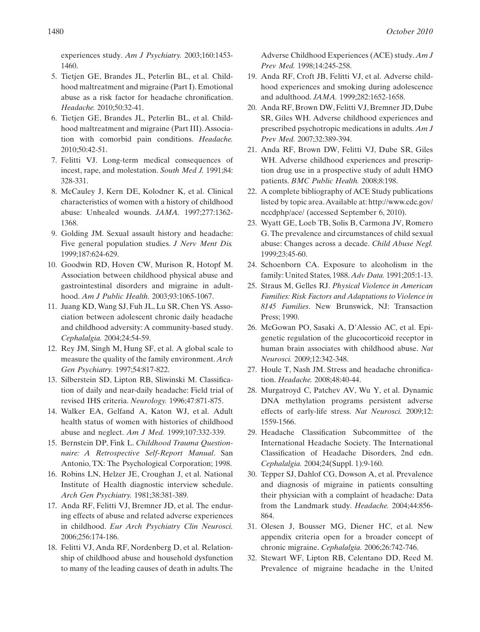experiences study. *Am J Psychiatry.* 2003;160:1453- 1460.

- 5. Tietjen GE, Brandes JL, Peterlin BL, et al. Childhood maltreatment and migraine (Part I). Emotional abuse as a risk factor for headache chronification. *Headache.* 2010;50:32-41.
- 6. Tietjen GE, Brandes JL, Peterlin BL, et al. Childhood maltreatment and migraine (Part III).Association with comorbid pain conditions. *Headache.* 2010;50:42-51.
- 7. Felitti VJ. Long-term medical consequences of incest, rape, and molestation. *South Med J.* 1991;84: 328-331.
- 8. McCauley J, Kern DE, Kolodner K, et al. Clinical characteristics of women with a history of childhood abuse: Unhealed wounds. *JAMA.* 1997;277:1362- 1368.
- 9. Golding JM. Sexual assault history and headache: Five general population studies. *J Nerv Ment Dis.* 1999;187:624-629.
- 10. Goodwin RD, Hoven CW, Murison R, Hotopf M. Association between childhood physical abuse and gastrointestinal disorders and migraine in adulthood. *Am J Public Health.* 2003;93:1065-1067.
- 11. Juang KD, Wang SJ, Fuh JL, Lu SR, Chen YS. Association between adolescent chronic daily headache and childhood adversity: A community-based study. *Cephalalgia.* 2004;24:54-59.
- 12. Rey JM, Singh M, Hung SF, et al. A global scale to measure the quality of the family environment. *Arch Gen Psychiatry.* 1997;54:817-822.
- 13. Silberstein SD, Lipton RB, Sliwinski M. Classification of daily and near-daily headache: Field trial of revised IHS criteria. *Neurology.* 1996;47:871-875.
- 14. Walker EA, Gelfand A, Katon WJ, et al. Adult health status of women with histories of childhood abuse and neglect. *Am J Med.* 1999;107:332-339.
- 15. Bernstein DP, Fink L. *Childhood Trauma Questionnaire: A Retrospective Self-Report Manual*. San Antonio, TX: The Psychological Corporation; 1998.
- 16. Robins LN, Helzer JE, Croughan J, et al. National Institute of Health diagnostic interview schedule. *Arch Gen Psychiatry.* 1981;38:381-389.
- 17. Anda RF, Felitti VJ, Bremner JD, et al. The enduring effects of abuse and related adverse experiences in childhood. *Eur Arch Psychiatry Clin Neurosci.* 2006;256:174-186.
- 18. Felitti VJ, Anda RF, Nordenberg D, et al. Relationship of childhood abuse and household dysfunction to many of the leading causes of death in adults.The

Adverse Childhood Experiences (ACE) study. *Am J Prev Med.* 1998;14:245-258.

- 19. Anda RF, Croft JB, Felitti VJ, et al. Adverse childhood experiences and smoking during adolescence and adulthood. *JAMA.* 1999;282:1652-1658.
- 20. Anda RF, Brown DW, Felitti VJ, Bremner JD, Dube SR, Giles WH. Adverse childhood experiences and prescribed psychotropic medications in adults. *Am J Prev Med.* 2007;32:389-394.
- 21. Anda RF, Brown DW, Felitti VJ, Dube SR, Giles WH. Adverse childhood experiences and prescription drug use in a prospective study of adult HMO patients. *BMC Public Health.* 2008;8:198.
- 22. A complete bibliography of ACE Study publications listed by topic area.Available at: http://www.cdc.gov/ nccdphp/ace/ (accessed September 6, 2010).
- 23. Wyatt GE, Loeb TB, Solis B, Carmona JV, Romero G. The prevalence and circumstances of child sexual abuse: Changes across a decade. *Child Abuse Negl.* 1999;23:45-60.
- 24. Schoenborn CA. Exposure to alcoholism in the family: United States, 1988. *Adv Data.* 1991;205:1-13.
- 25. Straus M, Gelles RJ. *Physical Violence in American Families: Risk Factors and Adaptations to Violence in 8145 Families*. New Brunswick, NJ: Transaction Press; 1990.
- 26. McGowan PO, Sasaki A, D'Alessio AC, et al. Epigenetic regulation of the glucocorticoid receptor in human brain associates with childhood abuse. *Nat Neurosci.* 2009;12:342-348.
- 27. Houle T, Nash JM. Stress and headache chronification. *Headache.* 2008;48:40-44.
- 28. Murgatroyd C, Patchev AV, Wu Y, et al. Dynamic DNA methylation programs persistent adverse effects of early-life stress. *Nat Neurosci.* 2009;12: 1559-1566.
- 29. Headache Classification Subcommittee of the International Headache Society. The International Classification of Headache Disorders, 2nd edn. *Cephalalgia.* 2004;24(Suppl. 1):9-160.
- 30. Tepper SJ, Dahlof CG, Dowson A, et al. Prevalence and diagnosis of migraine in patients consulting their physician with a complaint of headache: Data from the Landmark study. *Headache.* 2004;44:856- 864.
- 31. Olesen J, Bousser MG, Diener HC, et al. New appendix criteria open for a broader concept of chronic migraine. *Cephalalgia.* 2006;26:742-746.
- 32. Stewart WF, Lipton RB, Celentano DD, Reed M. Prevalence of migraine headache in the United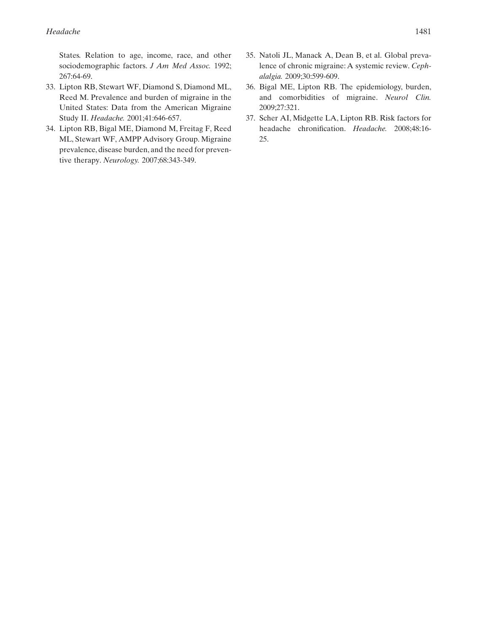States. Relation to age, income, race, and other sociodemographic factors. *J Am Med Assoc.* 1992; 267:64-69.

- 33. Lipton RB, Stewart WF, Diamond S, Diamond ML, Reed M. Prevalence and burden of migraine in the United States: Data from the American Migraine Study II. *Headache.* 2001;41:646-657.
- 34. Lipton RB, Bigal ME, Diamond M, Freitag F, Reed ML, Stewart WF, AMPP Advisory Group. Migraine prevalence, disease burden, and the need for preventive therapy. *Neurology.* 2007;68:343-349.
- 35. Natoli JL, Manack A, Dean B, et al. Global prevalence of chronic migraine: A systemic review. *Cephalalgia.* 2009;30:599-609.
- 36. Bigal ME, Lipton RB. The epidemiology, burden, and comorbidities of migraine. *Neurol Clin.* 2009;27:321.
- 37. Scher AI, Midgette LA, Lipton RB. Risk factors for headache chronification. *Headache.* 2008;48:16- 25.